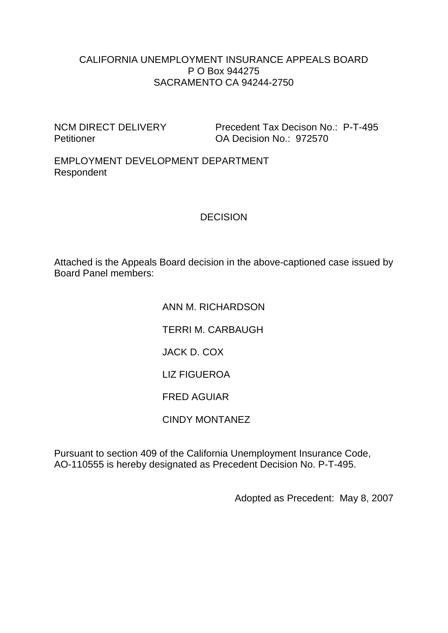#### CALIFORNIA UNEMPLOYMENT INSURANCE APPEALS BOARD P O Box 944275 SACRAMENTO CA 94244-2750

NCM DIRECT DELIVERY Precedent Tax Decison No.: P-T-495 Petitioner **OA Decision No.: 972570** 

EMPLOYMENT DEVELOPMENT DEPARTMENT Respondent

### DECISION

Attached is the Appeals Board decision in the above-captioned case issued by Board Panel members:

> ANN M. RICHARDSON TERRI M. CARBAUGH JACK D. COX LIZ FIGUEROA FRED AGUIAR CINDY MONTANEZ

Pursuant to section 409 of the California Unemployment Insurance Code, AO-110555 is hereby designated as Precedent Decision No. P-T-495.

Adopted as Precedent: May 8, 2007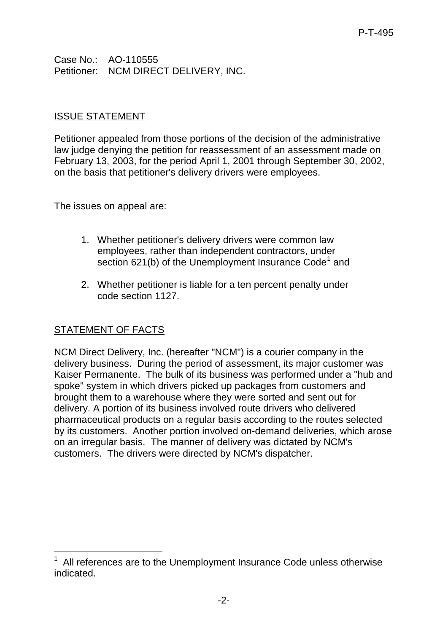Case No.: AO-110555 Petitioner: NCM DIRECT DELIVERY, INC.

### ISSUE STATEMENT

Petitioner appealed from those portions of the decision of the administrative law judge denying the petition for reassessment of an assessment made on February 13, 2003, for the period April 1, 2001 through September 30, 2002, on the basis that petitioner's delivery drivers were employees.

The issues on appeal are:

- 1. Whether petitioner's delivery drivers were common law employees, rather than independent contractors, under section 62[1](#page-1-0)(b) of the Unemployment Insurance Code<sup>1</sup> and
- 2. Whether petitioner is liable for a ten percent penalty under code section 1127.

## STATEMENT OF FACTS

NCM Direct Delivery, Inc. (hereafter "NCM") is a courier company in the delivery business. During the period of assessment, its major customer was Kaiser Permanente. The bulk of its business was performed under a "hub and spoke" system in which drivers picked up packages from customers and brought them to a warehouse where they were sorted and sent out for delivery. A portion of its business involved route drivers who delivered pharmaceutical products on a regular basis according to the routes selected by its customers. Another portion involved on-demand deliveries, which arose on an irregular basis. The manner of delivery was dictated by NCM's customers. The drivers were directed by NCM's dispatcher.

<span id="page-1-0"></span><sup>-</sup>All references are to the Unemployment Insurance Code unless otherwise indicated.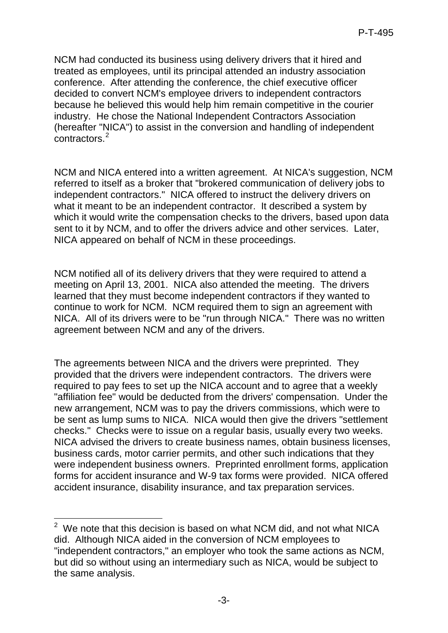NCM had conducted its business using delivery drivers that it hired and treated as employees, until its principal attended an industry association conference. After attending the conference, the chief executive officer decided to convert NCM's employee drivers to independent contractors because he believed this would help him remain competitive in the courier industry. He chose the National Independent Contractors Association (hereafter "NICA") to assist in the conversion and handling of independent contractors.[2](#page-2-0)

NCM and NICA entered into a written agreement. At NICA's suggestion, NCM referred to itself as a broker that "brokered communication of delivery jobs to independent contractors." NICA offered to instruct the delivery drivers on what it meant to be an independent contractor. It described a system by which it would write the compensation checks to the drivers, based upon data sent to it by NCM, and to offer the drivers advice and other services. Later, NICA appeared on behalf of NCM in these proceedings.

NCM notified all of its delivery drivers that they were required to attend a meeting on April 13, 2001. NICA also attended the meeting. The drivers learned that they must become independent contractors if they wanted to continue to work for NCM. NCM required them to sign an agreement with NICA. All of its drivers were to be "run through NICA." There was no written agreement between NCM and any of the drivers.

The agreements between NICA and the drivers were preprinted. They provided that the drivers were independent contractors. The drivers were required to pay fees to set up the NICA account and to agree that a weekly "affiliation fee" would be deducted from the drivers' compensation. Under the new arrangement, NCM was to pay the drivers commissions, which were to be sent as lump sums to NICA. NICA would then give the drivers "settlement checks." Checks were to issue on a regular basis, usually every two weeks. NICA advised the drivers to create business names, obtain business licenses, business cards, motor carrier permits, and other such indications that they were independent business owners. Preprinted enrollment forms, application forms for accident insurance and W-9 tax forms were provided. NICA offered accident insurance, disability insurance, and tax preparation services.

<span id="page-2-0"></span><sup>&</sup>lt;u>2</u><br><sup>2</sup> We note that this decision is based on what NCM did, and not what NICA did. Although NICA aided in the conversion of NCM employees to "independent contractors," an employer who took the same actions as NCM, but did so without using an intermediary such as NICA, would be subject to the same analysis.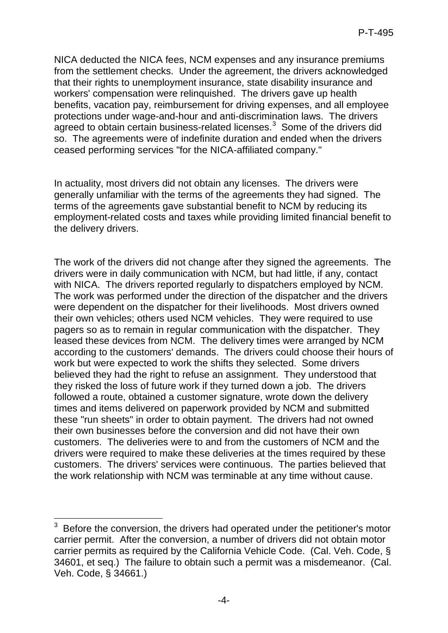NICA deducted the NICA fees, NCM expenses and any insurance premiums from the settlement checks. Under the agreement, the drivers acknowledged that their rights to unemployment insurance, state disability insurance and workers' compensation were relinquished. The drivers gave up health benefits, vacation pay, reimbursement for driving expenses, and all employee protections under wage-and-hour and anti-discrimination laws. The drivers agreed to obtain certain business-related licenses. $3$  Some of the drivers did so. The agreements were of indefinite duration and ended when the drivers ceased performing services "for the NICA-affiliated company."

In actuality, most drivers did not obtain any licenses. The drivers were generally unfamiliar with the terms of the agreements they had signed. The terms of the agreements gave substantial benefit to NCM by reducing its employment-related costs and taxes while providing limited financial benefit to the delivery drivers.

The work of the drivers did not change after they signed the agreements. The drivers were in daily communication with NCM, but had little, if any, contact with NICA. The drivers reported regularly to dispatchers employed by NCM. The work was performed under the direction of the dispatcher and the drivers were dependent on the dispatcher for their livelihoods. Most drivers owned their own vehicles; others used NCM vehicles. They were required to use pagers so as to remain in regular communication with the dispatcher. They leased these devices from NCM. The delivery times were arranged by NCM according to the customers' demands. The drivers could choose their hours of work but were expected to work the shifts they selected. Some drivers believed they had the right to refuse an assignment. They understood that they risked the loss of future work if they turned down a job. The drivers followed a route, obtained a customer signature, wrote down the delivery times and items delivered on paperwork provided by NCM and submitted these "run sheets" in order to obtain payment. The drivers had not owned their own businesses before the conversion and did not have their own customers. The deliveries were to and from the customers of NCM and the drivers were required to make these deliveries at the times required by these customers. The drivers' services were continuous. The parties believed that the work relationship with NCM was terminable at any time without cause.

<span id="page-3-0"></span><sup>-</sup>3 Before the conversion, the drivers had operated under the petitioner's motor carrier permit. After the conversion, a number of drivers did not obtain motor carrier permits as required by the California Vehicle Code. (Cal. Veh. Code, § 34601, et seq.) The failure to obtain such a permit was a misdemeanor. (Cal. Veh. Code, § 34661.)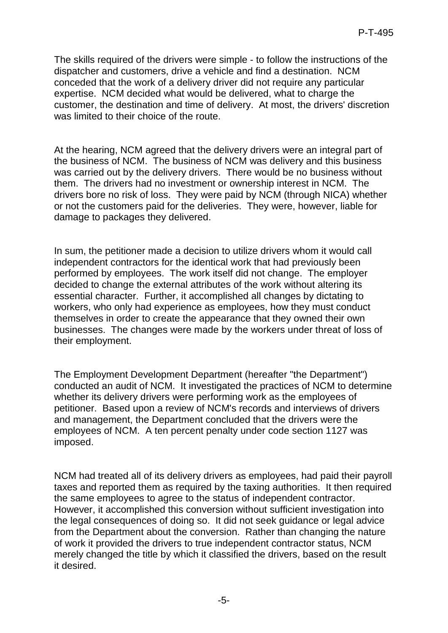The skills required of the drivers were simple - to follow the instructions of the dispatcher and customers, drive a vehicle and find a destination. NCM conceded that the work of a delivery driver did not require any particular expertise. NCM decided what would be delivered, what to charge the customer, the destination and time of delivery. At most, the drivers' discretion was limited to their choice of the route.

At the hearing, NCM agreed that the delivery drivers were an integral part of the business of NCM. The business of NCM was delivery and this business was carried out by the delivery drivers. There would be no business without them. The drivers had no investment or ownership interest in NCM. The drivers bore no risk of loss. They were paid by NCM (through NICA) whether or not the customers paid for the deliveries. They were, however, liable for damage to packages they delivered.

In sum, the petitioner made a decision to utilize drivers whom it would call independent contractors for the identical work that had previously been performed by employees. The work itself did not change. The employer decided to change the external attributes of the work without altering its essential character. Further, it accomplished all changes by dictating to workers, who only had experience as employees, how they must conduct themselves in order to create the appearance that they owned their own businesses. The changes were made by the workers under threat of loss of their employment.

The Employment Development Department (hereafter "the Department") conducted an audit of NCM. It investigated the practices of NCM to determine whether its delivery drivers were performing work as the employees of petitioner. Based upon a review of NCM's records and interviews of drivers and management, the Department concluded that the drivers were the employees of NCM. A ten percent penalty under code section 1127 was imposed.

NCM had treated all of its delivery drivers as employees, had paid their payroll taxes and reported them as required by the taxing authorities. It then required the same employees to agree to the status of independent contractor. However, it accomplished this conversion without sufficient investigation into the legal consequences of doing so. It did not seek guidance or legal advice from the Department about the conversion. Rather than changing the nature of work it provided the drivers to true independent contractor status, NCM merely changed the title by which it classified the drivers, based on the result it desired.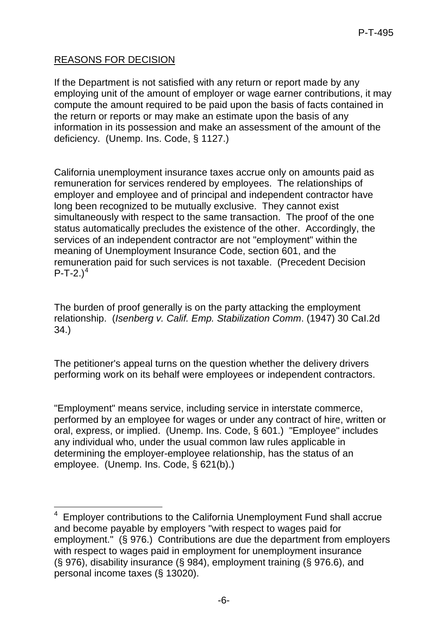# REASONS FOR DECISION

-

If the Department is not satisfied with any return or report made by any employing unit of the amount of employer or wage earner contributions, it may compute the amount required to be paid upon the basis of facts contained in the return or reports or may make an estimate upon the basis of any information in its possession and make an assessment of the amount of the deficiency. (Unemp. Ins. Code, § 1127.)

California unemployment insurance taxes accrue only on amounts paid as remuneration for services rendered by employees. The relationships of employer and employee and of principal and independent contractor have long been recognized to be mutually exclusive. They cannot exist simultaneously with respect to the same transaction. The proof of the one status automatically precludes the existence of the other. Accordingly, the services of an independent contractor are not "employment" within the meaning of Unemployment Insurance Code, section 601, and the remuneration paid for such services is not taxable. (Precedent Decision  $P-T-2.$ )<sup>[4](#page-5-0)</sup>

The burden of proof generally is on the party attacking the employment relationship. (*Isenberg v. Calif. Emp. Stabilization Comm*. (1947) 30 CaI.2d 34.)

The petitioner's appeal turns on the question whether the delivery drivers performing work on its behalf were employees or independent contractors.

"Employment" means service, including service in interstate commerce, performed by an employee for wages or under any contract of hire, written or oral, express, or implied. (Unemp. Ins. Code, § 601.) "Employee" includes any individual who, under the usual common law rules applicable in determining the employer-employee relationship, has the status of an employee. (Unemp. Ins. Code, § 621(b).)

<span id="page-5-0"></span><sup>4</sup> Employer contributions to the California Unemployment Fund shall accrue and become payable by employers "with respect to wages paid for employment." (§ 976.) Contributions are due the department from employers with respect to wages paid in employment for unemployment insurance (§ 976), disability insurance (§ 984), employment training (§ 976.6), and personal income taxes (§ 13020).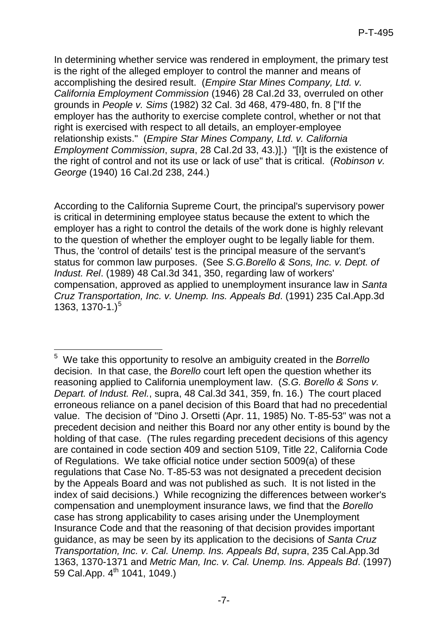In determining whether service was rendered in employment, the primary test is the right of the alleged employer to control the manner and means of accomplishing the desired result. (*Empire Star Mines Company, Ltd. v. California Employment Commission* (1946) 28 CaI.2d 33, overruled on other grounds in *People v. Sims* (1982) 32 Cal. 3d 468, 479-480, fn. 8 ["If the employer has the authority to exercise complete control, whether or not that right is exercised with respect to all details, an employer-employee relationship exists." (*Empire Star Mines Company, Ltd. v. California Employment Commission*, *supra*, 28 CaI.2d 33, 43.)].) "[I]t is the existence of the right of control and not its use or lack of use" that is critical. (*Robinson v. George* (1940) 16 CaI.2d 238, 244.)

According to the California Supreme Court, the principal's supervisory power is critical in determining employee status because the extent to which the employer has a right to control the details of the work done is highly relevant to the question of whether the employer ought to be legally liable for them. Thus, the 'control of details' test is the principal measure of the servant's status for common law purposes. (See *S.G.Borello & Sons, Inc. v. Dept. of Indust. Rel*. (1989) 48 CaI.3d 341, 350, regarding law of workers' compensation, approved as applied to unemployment insurance law in *Santa Cruz Transportation, Inc. v. Unemp. Ins. Appeals Bd*. (1991) 235 CaI.App.3d 1363, 1370-1.)<sup>[5](#page-6-0)</sup>

<span id="page-6-0"></span> 5 We take this opportunity to resolve an ambiguity created in the *Borrello* decision. In that case, the *Borello* court left open the question whether its reasoning applied to California unemployment law. (*S.G. Borello & Sons v. Depart. of Indust. Rel.*, supra, 48 Cal.3d 341, 359, fn. 16.) The court placed erroneous reliance on a panel decision of this Board that had no precedential value. The decision of "Dino J. Orsetti (Apr. 11, 1985) No. T-85-53" was not a precedent decision and neither this Board nor any other entity is bound by the holding of that case. (The rules regarding precedent decisions of this agency are contained in code section 409 and section 5109, Title 22, California Code of Regulations. We take official notice under section 5009(a) of these regulations that Case No. T-85-53 was not designated a precedent decision by the Appeals Board and was not published as such. It is not listed in the index of said decisions.) While recognizing the differences between worker's compensation and unemployment insurance laws, we find that the *Borello* case has strong applicability to cases arising under the Unemployment Insurance Code and that the reasoning of that decision provides important guidance, as may be seen by its application to the decisions of *Santa Cruz Transportation, Inc. v. Cal. Unemp. Ins. Appeals Bd*, *supra*, 235 Cal.App.3d 1363, 1370-1371 and *Metric Man, Inc. v. Cal. Unemp. Ins. Appeals Bd*. (1997) 59 Cal.App. 4<sup>th</sup> 1041, 1049.)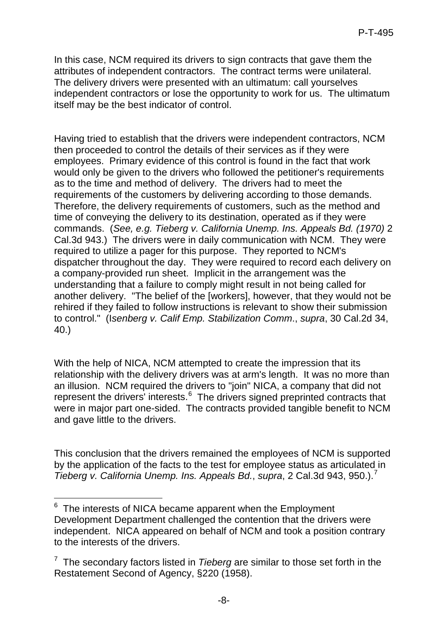In this case, NCM required its drivers to sign contracts that gave them the attributes of independent contractors. The contract terms were unilateral. The delivery drivers were presented with an ultimatum: call yourselves independent contractors or lose the opportunity to work for us. The ultimatum itself may be the best indicator of control.

Having tried to establish that the drivers were independent contractors, NCM then proceeded to control the details of their services as if they were employees. Primary evidence of this control is found in the fact that work would only be given to the drivers who followed the petitioner's requirements as to the time and method of delivery. The drivers had to meet the requirements of the customers by delivering according to those demands. Therefore, the delivery requirements of customers, such as the method and time of conveying the delivery to its destination, operated as if they were commands. (*See, e.g. Tieberg v. California Unemp. Ins. Appeals Bd. (1970)* 2 Cal.3d 943.) The drivers were in daily communication with NCM. They were required to utilize a pager for this purpose. They reported to NCM's dispatcher throughout the day. They were required to record each delivery on a company-provided run sheet. Implicit in the arrangement was the understanding that a failure to comply might result in not being called for another delivery. "The belief of the [workers], however, that they would not be rehired if they failed to follow instructions is relevant to show their submission to control." (I*senberg v. Calif Emp. Stabilization Comm*., *supra*, 30 Cal.2d 34, 40.)

With the help of NICA, NCM attempted to create the impression that its relationship with the delivery drivers was at arm's length. It was no more than an illusion. NCM required the drivers to "join" NICA, a company that did not represent the drivers' interests.<sup>[6](#page-7-0)</sup> The drivers signed preprinted contracts that were in major part one-sided. The contracts provided tangible benefit to NCM and gave little to the drivers.

This conclusion that the drivers remained the employees of NCM is supported by the application of the facts to the test for employee status as articulated in *Tieberg v. California Unemp. Ins. Appeals Bd., supra, 2 Cal.3d 943, 950.).*<sup>[7](#page-7-1)</sup>

<span id="page-7-0"></span> 6 The interests of NICA became apparent when the Employment Development Department challenged the contention that the drivers were independent. NICA appeared on behalf of NCM and took a position contrary to the interests of the drivers.

<span id="page-7-1"></span><sup>7</sup> The secondary factors listed in *Tieberg* are similar to those set forth in the Restatement Second of Agency, §220 (1958).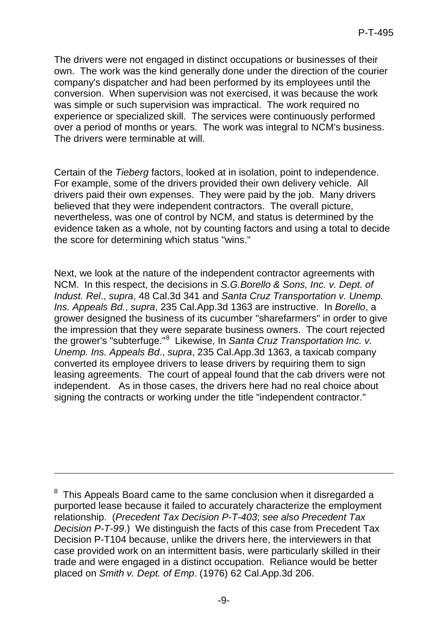The drivers were not engaged in distinct occupations or businesses of their own. The work was the kind generally done under the direction of the courier company's dispatcher and had been performed by its employees until the conversion. When supervision was not exercised, it was because the work was simple or such supervision was impractical. The work required no experience or specialized skill. The services were continuously performed over a period of months or years. The work was integral to NCM's business. The drivers were terminable at will.

Certain of the *Tieberg* factors, looked at in isolation, point to independence. For example, some of the drivers provided their own delivery vehicle. All drivers paid their own expenses. They were paid by the job. Many drivers believed that they were independent contractors. The overall picture, nevertheless, was one of control by NCM, and status is determined by the evidence taken as a whole, not by counting factors and using a total to decide the score for determining which status "wins."

Next, we look at the nature of the independent contractor agreements with NCM. In this respect, the decisions in *S.G.Borello & Sons, Inc. v. Dept. of Indust. Rel*., *supra*, 48 Cal.3d 341 and *Santa Cruz Transportation v. Unemp. Ins. Appeals Bd.*, *supra*, 235 Cal.App.3d 1363 are instructive. In *Borello*, a grower designed the business of its cucumber "sharefarmers" in order to give the impression that they were separate business owners. The court rejected the grower's "subterfuge." [8](#page-8-0) Likewise, In *Santa Cruz Transportation Inc. v. Unemp. Ins. Appeals Bd*., *supra*, 235 Cal.App.3d 1363, a taxicab company converted its employee drivers to lease drivers by requiring them to sign leasing agreements. The court of appeal found that the cab drivers were not independent. As in those cases, the drivers here had no real choice about signing the contracts or working under the title "independent contractor."

-

<span id="page-8-0"></span><sup>&</sup>lt;sup>8</sup> This Appeals Board came to the same conclusion when it disregarded a purported lease because it failed to accurately characterize the employment relationship. (*Precedent Tax Decision P-T-403*; *see also Precedent Tax Decision P-T-99*.) We distinguish the facts of this case from Precedent Tax Decision P-T104 because, unlike the drivers here, the interviewers in that case provided work on an intermittent basis, were particularly skilled in their trade and were engaged in a distinct occupation. Reliance would be better placed on *Smith v. Dept. of Emp*. (1976) 62 Cal.App.3d 206.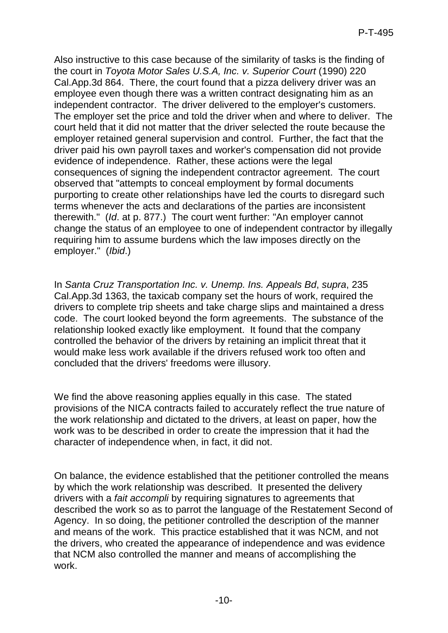Also instructive to this case because of the similarity of tasks is the finding of the court in *Toyota Motor Sales U.S.A, Inc. v. Superior Court* (1990) 220 Cal.App.3d 864. There, the court found that a pizza delivery driver was an employee even though there was a written contract designating him as an independent contractor. The driver delivered to the employer's customers. The employer set the price and told the driver when and where to deliver. The court held that it did not matter that the driver selected the route because the employer retained general supervision and control. Further, the fact that the driver paid his own payroll taxes and worker's compensation did not provide evidence of independence. Rather, these actions were the legal consequences of signing the independent contractor agreement. The court observed that "attempts to conceal employment by formal documents purporting to create other relationships have led the courts to disregard such terms whenever the acts and declarations of the parties are inconsistent therewith." (*Id*. at p. 877.) The court went further: "An employer cannot change the status of an employee to one of independent contractor by illegally requiring him to assume burdens which the law imposes directly on the employer." (*Ibid*.)

In *Santa Cruz Transportation Inc. v. Unemp. Ins. Appeals Bd*, *supra*, 235 Cal.App.3d 1363, the taxicab company set the hours of work, required the drivers to complete trip sheets and take charge slips and maintained a dress code. The court looked beyond the form agreements. The substance of the relationship looked exactly like employment. It found that the company controlled the behavior of the drivers by retaining an implicit threat that it would make less work available if the drivers refused work too often and concluded that the drivers' freedoms were illusory.

We find the above reasoning applies equally in this case. The stated provisions of the NICA contracts failed to accurately reflect the true nature of the work relationship and dictated to the drivers, at least on paper, how the work was to be described in order to create the impression that it had the character of independence when, in fact, it did not.

On balance, the evidence established that the petitioner controlled the means by which the work relationship was described. It presented the delivery drivers with a *fait accompli* by requiring signatures to agreements that described the work so as to parrot the language of the Restatement Second of Agency. In so doing, the petitioner controlled the description of the manner and means of the work. This practice established that it was NCM, and not the drivers, who created the appearance of independence and was evidence that NCM also controlled the manner and means of accomplishing the work.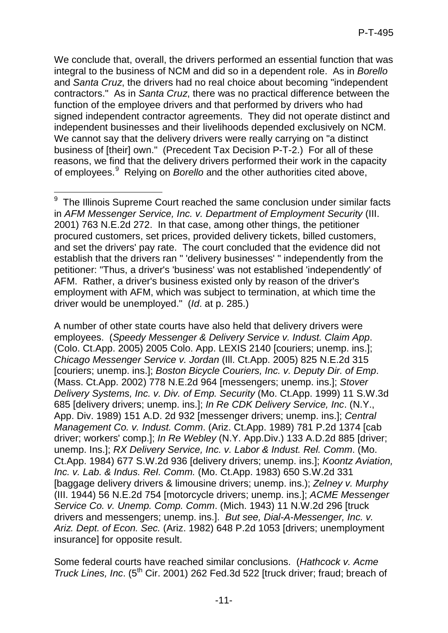We conclude that, overall, the drivers performed an essential function that was integral to the business of NCM and did so in a dependent role. As in *Borello* and *Santa Cruz*, the drivers had no real choice about becoming "independent contractors." As in *Santa Cruz*, there was no practical difference between the function of the employee drivers and that performed by drivers who had signed independent contractor agreements. They did not operate distinct and independent businesses and their livelihoods depended exclusively on NCM. We cannot say that the delivery drivers were really carrying on "a distinct" business of [their] own." (Precedent Tax Decision P-T-2.) For all of these reasons, we find that the delivery drivers performed their work in the capacity of employees.[9](#page-10-0) Relying on *Borello* and the other authorities cited above,

A number of other state courts have also held that delivery drivers were employees. (*Speedy Messenger & Delivery Service v. Indust. Claim App*. (Colo. Ct.App. 2005) 2005 Colo. App. LEXIS 2140 [couriers; unemp. ins.]; *Chicago Messenger Service v. Jordan* (Ill. Ct.App. 2005) 825 N.E.2d 315 [couriers; unemp. ins.]; *Boston Bicycle Couriers, Inc. v. Deputy Dir. of Emp*. (Mass. Ct.App. 2002) 778 N.E.2d 964 [messengers; unemp. ins.]; *Stover Delivery Systems, Inc. v. Div. of Emp. Security* (Mo. Ct.App. 1999) 11 S.W.3d 685 [delivery drivers; unemp. ins.]; *In Re CDK Delivery Service, Inc*. (N.Y., App. Div. 1989) 151 A.D. 2d 932 [messenger drivers; unemp. ins.]; *Central Management Co. v. Indust. Comm*. (Ariz. Ct.App. 1989) 781 P.2d 1374 [cab driver; workers' comp.]; *In Re Webley* (N.Y. App.Div.) 133 A.D.2d 885 [driver; unemp. Ins.]; *RX Delivery Service, Inc. v. Labor & Indust. Rel. Comm*. (Mo. Ct.App. 1984) 677 S.W.2d 936 [delivery drivers; unemp. ins.]; *Koontz Aviation, Inc. v. Lab. & Indus. ReI. Comm.* (Mo. Ct.App. 1983) 650 S.W.2d 331 [baggage delivery drivers & limousine drivers; unemp. ins.); *Zelney v. Murphy* (III. 1944) 56 N.E.2d 754 [motorcycle drivers; unemp. ins.]; *ACME Messenger Service Co. v. Unemp. Comp. Comm*. (Mich. 1943) 11 N.W.2d 296 [truck drivers and messengers; unemp. ins.]. *But see, Dial-A-Messenger, Inc. v. Ariz. Dept. of Econ. Sec.* (Ariz. 1982) 648 P.2d 1053 [drivers; unemployment insurance] for opposite result.

Some federal courts have reached similar conclusions. (*Hathcock v. Acme Truck Lines, Inc.* (5<sup>th</sup> Cir. 2001) 262 Fed.3d 522 [truck driver; fraud; breach of

<span id="page-10-0"></span><sup>-</sup><sup>9</sup> The Illinois Supreme Court reached the same conclusion under similar facts in *AFM Messenger Service, Inc. v. Department of Employment Security* (III. 2001) 763 N.E.2d 272. In that case, among other things, the petitioner procured customers, set prices, provided delivery tickets, billed customers, and set the drivers' pay rate. The court concluded that the evidence did not establish that the drivers ran " 'delivery businesses' " independently from the petitioner: "Thus, a driver's 'business' was not established 'independently' of AFM. Rather, a driver's business existed only by reason of the driver's employment with AFM, which was subject to termination, at which time the driver would be unemployed." (*Id*. at p. 285.)